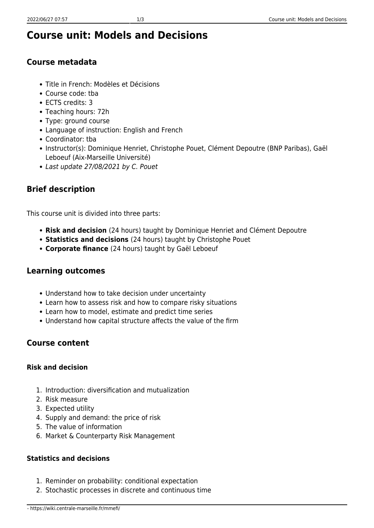# **Course unit: Models and Decisions**

### **Course metadata**

- Title in French: Modèles et Décisions
- Course code: tba
- ECTS credits: 3
- Teaching hours: 72h
- Type: ground course
- Language of instruction: English and French
- Coordinator: tba
- Instructor(s): Dominique Henriet, Christophe Pouet, Clément Depoutre (BNP Paribas), Gaël Leboeuf (Aix-Marseille Université)
- Last update 27/08/2021 by C. Pouet

## **Brief description**

This course unit is divided into three parts:

- **Risk and decision** (24 hours) taught by Dominique Henriet and Clément Depoutre
- **Statistics and decisions** (24 hours) taught by Christophe Pouet
- **Corporate finance** (24 hours) taught by Gaël Leboeuf

### **Learning outcomes**

- Understand how to take decision under uncertainty
- Learn how to assess risk and how to compare risky situations
- Learn how to model, estimate and predict time series
- Understand how capital structure affects the value of the firm

### **Course content**

#### **Risk and decision**

- 1. Introduction: diversification and mutualization
- 2. Risk measure
- 3. Expected utility
- 4. Supply and demand: the price of risk
- 5. The value of information
- 6. Market & Counterparty Risk Management

#### **Statistics and decisions**

- 1. Reminder on probability: conditional expectation
- 2. Stochastic processes in discrete and continuous time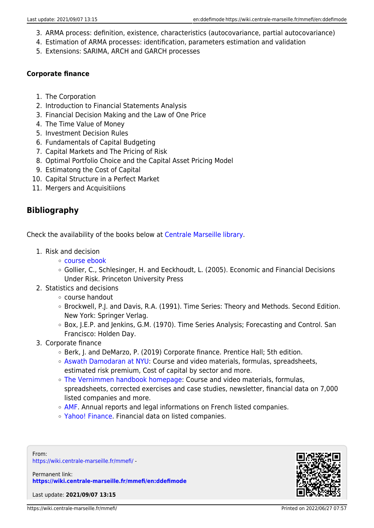- 3. ARMA process: definition, existence, characteristics (autocovariance, partial autocovariance)
- 4. Estimation of ARMA processes: identification, parameters estimation and validation
- 5. Extensions: SARIMA, ARCH and GARCH processes

#### **Corporate finance**

- 1. The Corporation
- 2. Introduction to Financial Statements Analysis
- 3. Financial Decision Making and the Law of One Price
- 4. The Time Value of Money
- 5. Investment Decision Rules
- 6. Fundamentals of Capital Budgeting
- 7. Capital Markets and The Pricing of Risk
- 8. Optimal Portfolio Choice and the Capital Asset Pricing Model
- 9. Estimatong the Cost of Capital
- 10. Capital Structure in a Perfect Market
- 11. Mergers and Acquisitiions

#### **Bibliography**

Check the availability of the books below at [Centrale Marseille library.](https://documentation.centrale-marseille.fr/)

- 1. Risk and decision
	- [course ebook](http://dhenriet.perso.centrale-marseille.fr/risk/)
	- Gollier, C., Schlesinger, H. and Eeckhoudt, L. (2005). Economic and Financial Decisions Under Risk. Princeton University Press
- 2. Statistics and decisions
	- course handout
	- Brockwell, P.J. and Davis, R.A. (1991). Time Series: Theory and Methods. Second Edition. New York: Springer Verlag.
	- Box, J.E.P. and Jenkins, G.M. (1970). Time Series Analysis; Forecasting and Control. San Francisco: Holden Day.
- 3. Corporate finance
	- Berk, J. and DeMarzo, P. (2019) Corporate finance. Prentice Hall; 5th edition.
	- [Aswath Damodaran at NYU:](http://pages.stern.nyu.edu/~adamodar) Course and video materials, formulas, spreadsheets, estimated risk premium, Cost of capital by sector and more.
	- [The Vernimmen handbook homepage:](http://www.vernimmen.net/) Course and video materials, formulas, spreadsheets, corrected exercises and case studies, newsletter, financial data on 7,000 listed companies and more.
	- [AMF.](http://www.amf-france.org/Recherche-avancee?formId=BDIF) Annual reports and legal informations on French listed companies.
	- [Yahoo! Finance.](https://fr.finance.yahoo.com/) Financial data on listed companies.

From: <https://wiki.centrale-marseille.fr/mmefi/> -

Permanent link: **<https://wiki.centrale-marseille.fr/mmefi/en:ddefimode>**

Last update: **2021/09/07 13:15**